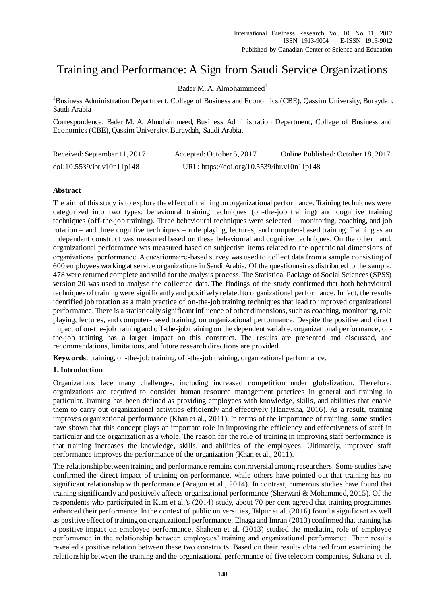# Training and Performance: A Sign from Saudi Service Organizations

Bader M. A. Almohaimmeed<sup>1</sup>

<sup>1</sup>Business Administration Department, College of Business and Economics (CBE), Qassim University, Buraydah, Saudi Arabia

Correspondence: Bader M. A. Almohaimmeed, Business Administration Department, College of Business and Economics (CBE), Qassim University, Buraydah, Saudi Arabia.

| Received: September 11, 2017 | Accepted: October 5, 2017                   | Online Published: October 18, 2017 |
|------------------------------|---------------------------------------------|------------------------------------|
| doi:10.5539/ibr.v10n11p148   | URL: https://doi.org/10.5539/ibr.v10n11p148 |                                    |

# **Abstract**

The aim of this study is to explore the effect of training on organizational performance. Training techniques were categorized into two types: behavioural training techniques (on-the-job training) and cognitive training techniques (off-the-job training). Three behavioural techniques were selected – monitoring, coaching, and job rotation – and three cognitive techniques – role playing, lectures, and computer-based training. Training as an independent construct was measured based on these behavioural and cognitive techniques. On the other hand, organizational performance was measured based on subjective items related to the operational dimensions of organizations' performance. A questionnaire-based survey was used to collect data from a sample consisting of 600 employees working at service organizations in Saudi Arabia. Of the questionnaires distributed to the sample, 478 were returned complete and valid for the analysis process. The Statistical Package of Social Sciences (SPSS) version 20 was used to analyse the collected data. The findings of the study confirmed that both behavioural techniques of training were significantly and positively related to organizational performance. In fact, the results identified job rotation as a main practice of on-the-job training techniques that lead to improved organizational performance. There is a statistically significant influence of other dimensions, such as coaching, monitoring, role playing, lectures, and computer-based training, on organizational performance. Despite the positive and direct impact of on-the-job training and off-the-job training on the dependent variable, organizational performance, onthe-job training has a larger impact on this construct. The results are presented and discussed, and recommendations, limitations, and future research directions are provided.

**Keywords**: training, on-the-job training, off-the-job training, organizational performance.

# **1. Introduction**

Organizations face many challenges, including increased competition under globalization. Therefore, organizations are required to consider human resource management practices in general and training in particular. Training has been defined as providing employees with knowledge, skills, and abilities that enable them to carry out organizational activities efficiently and effectively (Hanaysha, 2016). As a result, training improves organizational performance (Khan et al., 2011). In terms of the importance of training, some studies have shown that this concept plays an important role in improving the efficiency and effectiveness of staff in particular and the organization as a whole. The reason for the role of training in improving staff performance is that training increases the knowledge, skills, and abilities of the employees. Ultimately, improved staff performance improves the performance of the organization (Khan et al., 2011).

The relationship between training and performance remains controversial among researchers. Some studies have confirmed the direct impact of training on performance, while others have pointed out that training has no significant relationship with performance (Aragon et al., 2014). In contrast, numerous studies have found that training significantly and positively affects organizational performance (Sherwani & Mohammed, 2015). Of the respondents who participated in Kum et al.'s (2014) study, about 70 per cent agreed that training programmes enhanced their performance. In the context of public universities, Talpur et al. (2016) found a significant as well as positive effect of training on organizational performance. Elnaga and Imran (2013) confirmed that training has a positive impact on employee performance. Shaheen et al. (2013) studied the mediating role of employee performance in the relationship between employees' training and organizational performance. Their results revealed a positive relation between these two constructs. Based on their results obtained from examining the relationship between the training and the organizational performance of five telecom companies, Sultana et al.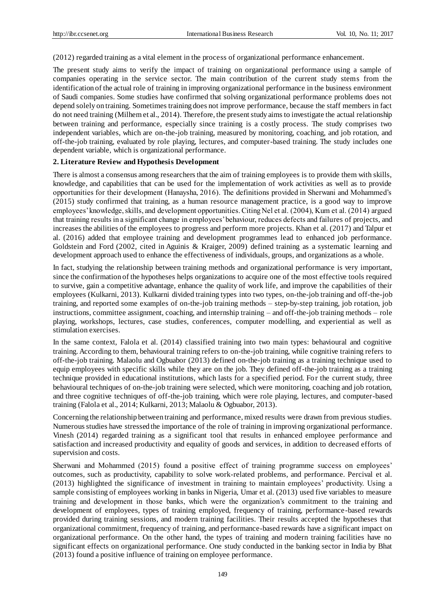(2012) regarded training as a vital element in the process of organizational performance enhancement.

The present study aims to verify the impact of training on organizational performance using a sample of companies operating in the service sector. The main contribution of the current study stems from the identification of the actual role of training in improving organizational performance in the business environment of Saudi companies. Some studies have confirmed that solving organizational performance problems does not depend solely on training. Sometimes training does not improve performance, because the staff members in fact do not need training (Milhem et al., 2014). Therefore, the present study aims to investigate the actual relationship between training and performance, especially since training is a costly process. The study comprises two independent variables, which are on-the-job training, measured by monitoring, coaching, and job rotation, and off-the-job training, evaluated by role playing, lectures, and computer-based training. The study includes one dependent variable, which is organizational performance.

# **2. Literature Review and Hypothesis Development**

There is almost a consensus among researchers that the aim of training employees is to provide them with skills, knowledge, and capabilities that can be used for the implementation of work activities as well as to provide opportunities for their development (Hanaysha, 2016). The definitions provided in Sherwani and Mohammed's (2015) study confirmed that training, as a human resource management practice, is a good way to improve employees' knowledge, skills, and development opportunities. Citing Nel et al. (2004), Kum et al. (2014) argued that training results in a significant change in employees' behaviour, reduces defects and failures of projects, and increases the abilities of the employees to progress and perform more projects. Khan et al. (2017) and Talpur et al. (2016) added that employee training and development programmes lead to enhanced job performance. Goldstein and Ford (2002, cited in Aguinis & Kraiger, 2009) defined training as a systematic learning and development approach used to enhance the effectiveness of individuals, groups, and organizations as a whole.

In fact, studying the relationship between training methods and organizational performance is very important, since the confirmation of the hypotheses helps organizations to acquire one of the most effective tools required to survive, gain a competitive advantage, enhance the quality of work life, and improve the capabilities of their employees (Kulkarni, 2013). Kulkarni divided training types into two types, on-the-job training and off-the-job training, and reported some examples of on-the-job training methods – step-by-step training, job rotation, job instructions, committee assignment, coaching, and internship training – and off-the-job training methods – role playing, workshops, lectures, case studies, conferences, computer modelling, and experiential as well as stimulation exercises.

In the same context, Falola et al. (2014) classified training into two main types: behavioural and cognitive training. According to them, behavioural training refers to on-the-job training, while cognitive training refers to off-the-job training. Malaolu and Ogbuabor (2013) defined on-the-job training as a training technique used to equip employees with specific skills while they are on the job. They defined off-the-job training as a training technique provided in educational institutions, which lasts for a specified period. For the current study, three behavioural techniques of on-the-job training were selected, which were monitoring, coaching and job rotation, and three cognitive techniques of off-the-job training, which were role playing, lectures, and computer-based training (Falola et al., 2014; Kulkarni, 2013; Malaolu & Ogbuabor, 2013).

Concerning the relationship between training and performance, mixed results were drawn from previous studies. Numerous studies have stressed the importance of the role of training in improving organizational performance. Vinesh (2014) regarded training as a significant tool that results in enhanced employee performance and satisfaction and increased productivity and equality of goods and services, in addition to decreased efforts of supervision and costs.

Sherwani and Mohammed (2015) found a positive effect of training programme success on employees' outcomes, such as productivity, capability to solve work-related problems, and performance. Percival et al. (2013) highlighted the significance of investment in training to maintain employees' productivity. Using a sample consisting of employees working in banks in Nigeria, Umar et al. (2013) used five variables to measure training and development in those banks, which were the organization's commitment to the training and development of employees, types of training employed, frequency of training, performance-based rewards provided during training sessions, and modern training facilities. Their results accepted the hypotheses that organizational commitment, frequency of training, and performance-based rewards have a significant impact on organizational performance. On the other hand, the types of training and modern training facilities have no significant effects on organizational performance. One study conducted in the banking sector in India by Bhat (2013) found a positive influence of training on employee performance.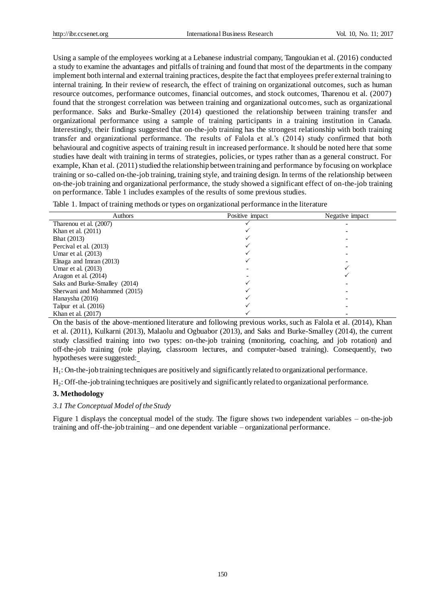Using a sample of the employees working at a Lebanese industrial company, Tangoukian et al. (2016) conducted a study to examine the advantages and pitfalls of training and found that most of the departments in the company implement both internal and external training practices, despite the fact that employees prefer external training to internal training. In their review of research, the effect of training on organizational outcomes, such as human resource outcomes, performance outcomes, financial outcomes, and stock outcomes, Tharenou et al. (2007) found that the strongest correlation was between training and organizational outcomes, such as organizational performance. Saks and Burke-Smalley (2014) questioned the relationship between training transfer and organizational performance using a sample of training participants in a training institution in Canada. Interestingly, their findings suggested that on-the-job training has the strongest relationship with both training transfer and organizational performance. The results of Falola et al.'s (2014) study confirmed that both behavioural and cognitive aspects of training result in increased performance. It should be noted here that some studies have dealt with training in terms of strategies, policies, or types rather than as a general construct. For example, Khan et al. (2011) studied the relationship between training and performance by focusing on workplace training or so-called on-the-job training, training style, and training design. In terms of the relationship between on-the-job training and organizational performance, the study showed a significant effect of on-the-job training on performance. Table 1 includes examples of the results of some previous studies.

|  |  |  |  | Table 1. Impact of training methods or types on organizational performance in the literature |  |  |
|--|--|--|--|----------------------------------------------------------------------------------------------|--|--|
|--|--|--|--|----------------------------------------------------------------------------------------------|--|--|

| Authors                       | Positive impact | Negative impact |
|-------------------------------|-----------------|-----------------|
| Tharenou et al. (2007)        |                 |                 |
| Khan et al. $(2011)$          |                 |                 |
| <b>Bhat</b> (2013)            |                 |                 |
| Percival et al. (2013)        |                 |                 |
| Umar et al. (2013)            |                 |                 |
| Elnaga and Imran $(2013)$     |                 |                 |
| Umar et al. (2013)            |                 |                 |
| Aragon et al. (2014)          |                 |                 |
| Saks and Burke-Smalley (2014) |                 |                 |
| Sherwani and Mohammed (2015)  |                 |                 |
| Hanaysha (2016)               |                 |                 |
| Talpur et al. $(2016)$        |                 |                 |
| Khan et al. (2017)            |                 |                 |

On the basis of the above-mentioned literature and following previous works, such as Falola et al. (2014), Khan et al. (2011), Kulkarni (2013), Malaolu and Ogbuabor (2013), and Saks and Burke-Smalley (2014), the current study classified training into two types: on-the-job training (monitoring, coaching, and job rotation) and off-the-job training (role playing, classroom lectures, and computer-based training). Consequently, two hypotheses were suggested:

 $H_1$ : On-the-job training techniques are positively and significantly related to organizational performance.

 $H_2$ : Off-the-job training techniques are positively and significantly related to organizational performance.

# **3. Methodology**

# *3.1 The Conceptual Model of the Study*

Figure 1 displays the conceptual model of the study. The figure shows two independent variables – on-the-job training and off-the-job training – and one dependent variable – organizational performance.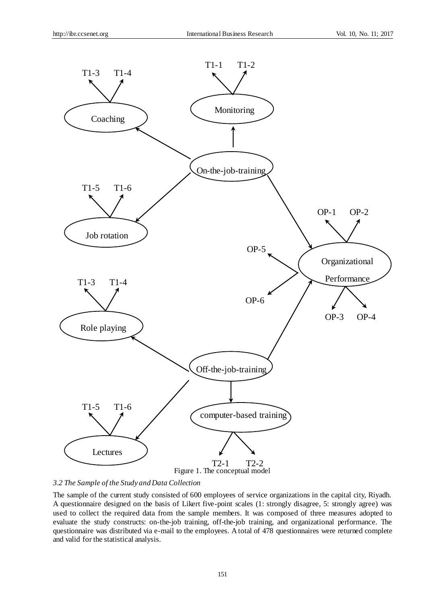

*3.2 The Sample of the Study and Data Collection* 

The sample of the current study consisted of 600 employees of service organizations in the capital city, Riyadh. A questionnaire designed on the basis of Likert five-point scales (1: strongly disagree, 5: strongly agree) was used to collect the required data from the sample members. It was composed of three measures adopted to evaluate the study constructs: on-the-job training, off-the-job training, and organizational performance. The questionnaire was distributed via e-mail to the employees. A total of 478 questionnaires were returned complete and valid for the statistical analysis.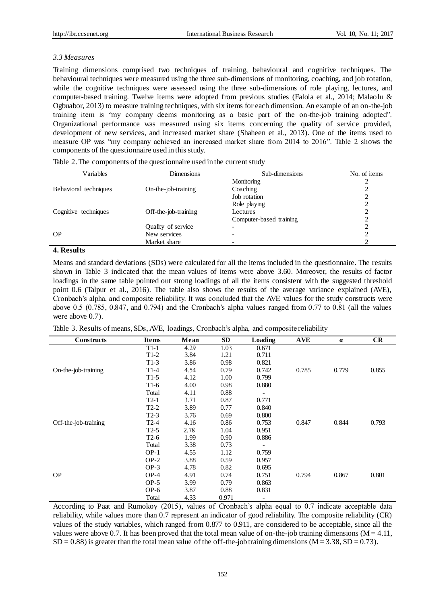# *3.3 Measures*

Training dimensions comprised two techniques of training, behavioural and cognitive techniques. The behavioural techniques were measured using the three sub-dimensions of monitoring, coaching, and job rotation, while the cognitive techniques were assessed using the three sub-dimensions of role playing, lectures, and computer-based training. Twelve items were adopted from previous studies (Falola et al., 2014; Malaolu & Ogbuabor, 2013) to measure training techniques, with six items for each dimension. An example of an on-the-job training item is "my company deems monitoring as a basic part of the on-the-job training adopted". Organizational performance was measured using six items concerning the quality of service provided, development of new services, and increased market share (Shaheen et al., 2013). One of the items used to measure OP was "my company achieved an increased market share from 2014 to 2016". Table 2 shows the components of the questionnaire used in this study.

| Variables             | <b>Dimensions</b>    | Sub-dimensions          | No. of items |
|-----------------------|----------------------|-------------------------|--------------|
|                       |                      | Monitoring              |              |
| Behavioral techniques | On-the-job-training  | Coaching                |              |
|                       |                      | Job rotation            |              |
|                       |                      | Role playing            |              |
| Cognitive techniques  | Off-the-job-training | Lectures                |              |
|                       |                      | Computer-based training |              |
|                       | Quality of service   |                         |              |
| <b>OP</b>             | New services         |                         |              |
|                       | Market share         |                         |              |

Table 2. The components of the questionnaire used in the current study

#### **4. Results**

Means and standard deviations (SDs) were calculated for all the items included in the questionnaire. The results shown in Table 3 indicated that the mean values of items were above 3.60. Moreover, the results of factor loadings in the same table pointed out strong loadings of all the items consistent with the suggested threshold point 0.6 (Talpur et al., 2016). The table also shows the results of the average variance explained (AVE), Cronbach's alpha, and composite reliability. It was concluded that the AVE values for the study constructs were above 0.5 (0.785, 0.847, and 0.794) and the Cronbach's alpha values ranged from 0.77 to 0.81 (all the values were above 0.7).

Table 3. Results of means, SDs, AVE, loadings, Cronbach's alpha, and composite reliability

| Constructs           | <b>Items</b> | Mean | <b>SD</b> | <b>Loading</b>           | <b>AVE</b> | $\alpha$ | CR    |
|----------------------|--------------|------|-----------|--------------------------|------------|----------|-------|
|                      | $T1-1$       | 4.29 | 1.03      | 0.671                    |            |          |       |
|                      | $T1-2$       | 3.84 | 1.21      | 0.711                    |            |          |       |
|                      | $T1-3$       | 3.86 | 0.98      | 0.821                    |            |          |       |
| On-the-job-training  | $T1-4$       | 4.54 | 0.79      | 0.742                    | 0.785      | 0.779    | 0.855 |
|                      | $T1-5$       | 4.12 | 1.00      | 0.799                    |            |          |       |
|                      | $T1-6$       | 4.00 | 0.98      | 0.880                    |            |          |       |
|                      | Total        | 4.11 | 0.88      |                          |            |          |       |
|                      | $T2-1$       | 3.71 | 0.87      | 0.771                    |            |          |       |
|                      | $T2-2$       | 3.89 | 0.77      | 0.840                    |            |          |       |
|                      | $T2-3$       | 3.76 | 0.69      | 0.800                    |            |          |       |
| Off-the-job-training | $T2-4$       | 4.16 | 0.86      | 0.753                    | 0.847      | 0.844    | 0.793 |
|                      | $T2-5$       | 2.78 | 1.04      | 0.951                    |            |          |       |
|                      | $T2-6$       | 1.99 | 0.90      | 0.886                    |            |          |       |
|                      | Total        | 3.38 | 0.73      |                          |            |          |       |
|                      | $OP-1$       | 4.55 | 1.12      | 0.759                    |            |          |       |
|                      | $OP-2$       | 3.88 | 0.59      | 0.957                    |            |          |       |
|                      | $OP-3$       | 4.78 | 0.82      | 0.695                    |            |          |       |
| <b>OP</b>            | $OP-4$       | 4.91 | 0.74      | 0.751                    | 0.794      | 0.867    | 0.801 |
|                      | $OP-5$       | 3.99 | 0.79      | 0.863                    |            |          |       |
|                      | $OP-6$       | 3.87 | 0.88      | 0.831                    |            |          |       |
|                      | Total        | 4.33 | 0.971     | $\overline{\phantom{a}}$ |            |          |       |

According to Paat and Rumokoy (2015), values of Cronbach's alpha equal to 0.7 indicate acceptable data reliability, while values more than 0.7 represent an indicator of good reliability. The composite reliability (CR) values of the study variables, which ranged from 0.877 to 0.911, are considered to be acceptable, since all the values were above 0.7. It has been proved that the total mean value of on-the-job training dimensions ( $M = 4.11$ ,  $SD = 0.88$ ) is greater than the total mean value of the off-the-job training dimensions ( $M = 3.38$ ,  $SD = 0.73$ ).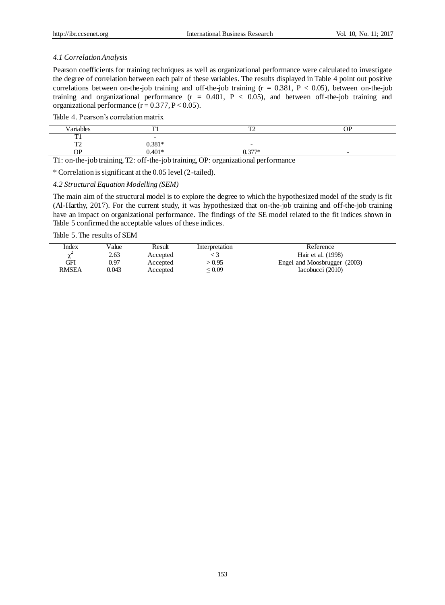# *4.1 Correlation Analysis*

Pearson coefficients for training techniques as well as organizational performance were calculated to investigate the degree of correlation between each pair of these variables. The results displayed in Table 4 point out positive correlations between on-the-job training and off-the-job training  $(r = 0.381, P < 0.05)$ , between on-the-job training and organizational performance  $(r = 0.401, P < 0.05)$ , and between off-the-job training and organizational performance ( $r = 0.377$ ,  $P < 0.05$ ).

Table 4. Pearson's correlation matrix

| Variables                                | m                                                   | $\mathbf{m}$                                                 | OΡ                       |
|------------------------------------------|-----------------------------------------------------|--------------------------------------------------------------|--------------------------|
| $\overline{\phantom{a}}$<br>. .          | $\overline{\phantom{0}}$                            |                                                              |                          |
| $T^{\prime}$<br>$\overline{\phantom{0}}$ | $0.381*$                                            | $\overline{\phantom{0}}$                                     |                          |
| ОP                                       | $0.401*$                                            | $277*$                                                       | $\overline{\phantom{0}}$ |
| $\sim$<br>.                              | $\sim$ $\sim$ $\sim$ $\sim$ $\sim$ $\sim$<br>$\sim$ | $\sim$ $\sim$<br>$\sim$<br>. .<br>$\cdot$ $\cdot$<br>$\cdot$ |                          |

T1: on-the-job training, T2: off-the-job training, OP: organizational performance

\* Correlation is significant at the 0.05 level (2-tailed).

*4.2 Structural Equation Modelling (SEM)*

The main aim of the structural model is to explore the degree to which the hypothesized model of the study is fit (Al-Harthy, 2017). For the current study, it was hypothesized that on-the-job training and off-the-job training have an impact on organizational performance. The findings of the SE model related to the fit indices shown in Table 5 confirmed the acceptable values of these indices.

#### Table 5. The results of SEM

| Index        | Value | Result   | Interpretation | Reference                    |
|--------------|-------|----------|----------------|------------------------------|
| ∼            | 2.63  | Accepted |                | Hair et al. (1998)           |
| GFI          | 0.97  | Accepted | 0.95 ء         | Engel and Moosbrugger (2003) |
| <b>RMSEA</b> | 0.043 | Accepted | ${}^{<}0.09$   | Iacobucci (2010)             |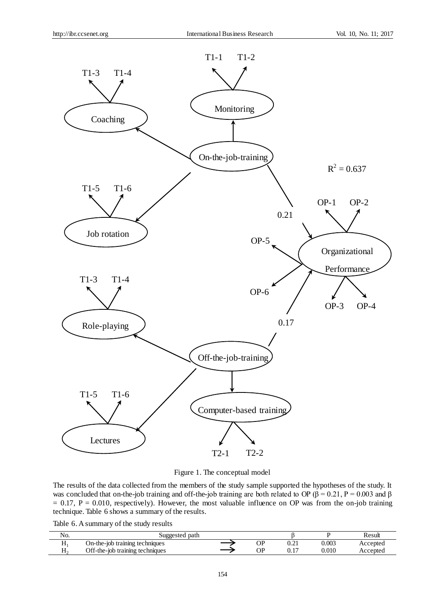

Figure 1. The conceptual model

The results of the data collected from the members of the study sample supported the hypotheses of the study. It was concluded that on-the-job training and off-the-job training are both related to OP ( $\beta$  = 0.21, P = 0.003 and  $\beta$  $= 0.17$ , P  $= 0.010$ , respectively). However, the most valuable influence on OP was from the on-job training technique. Table 6 shows a summary of the results.

Table 6. A summary of the study results

| $\overline{\phantom{a}}$<br>NO. | path                               |          |                               |       | Kesuli   |
|---------------------------------|------------------------------------|----------|-------------------------------|-------|----------|
| TT.                             | On-the-job training techniques     | ОP       | $\mathbf{u} \cdot \mathbf{v}$ | 0.003 | ccepted. |
| $ -$<br>$11^{\circ}$            | Off-the-job<br>training techniques | ∩פ<br>vı | 1 <sub>7</sub><br>U.L.        | 0.010 | Locanta  |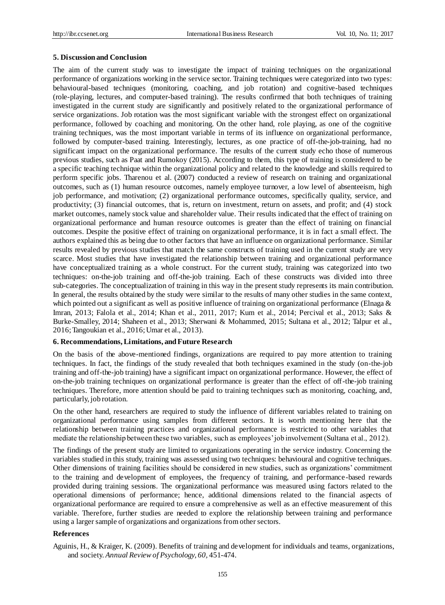#### **5. Discussion and Conclusion**

The aim of the current study was to investigate the impact of training techniques on the organizational performance of organizations working in the service sector. Training techniques were categorized into two types: behavioural-based techniques (monitoring, coaching, and job rotation) and cognitive-based techniques (role-playing, lectures, and computer-based training). The results confirmed that both techniques of training investigated in the current study are significantly and positively related to the organizational performance of service organizations. Job rotation was the most significant variable with the strongest effect on organizational performance, followed by coaching and monitoring. On the other hand, role playing, as one of the cognitive training techniques, was the most important variable in terms of its influence on organizational performance, followed by computer-based training. Interestingly, lectures, as one practice of off-the-job-training, had no significant impact on the organizational performance. The results of the current study echo those of numerous previous studies, such as Paat and Rumokoy (2015). According to them, this type of training is considered to be a specific teaching technique within the organizational policy and related to the knowledge and skills required to perform specific jobs. Tharenou et al. (2007) conducted a review of research on training and organizational outcomes, such as (1) human resource outcomes, namely employee turnover, a low level of absenteeism, high job performance, and motivation; (2) organizational performance outcomes, specifically quality, service, and productivity; (3) financial outcomes, that is, return on investment, return on assets, and profit; and (4) stock market outcomes, namely stock value and shareholder value. Their results indicated that the effect of training on organizational performance and human resource outcomes is greater than the effect of training on financial outcomes. Despite the positive effect of training on organizational performance, it is in fact a small effect. The authors explained this as being due to other factors that have an influence on organizational performance. Similar results revealed by previous studies that match the same constructs of training used in the current study are very scarce. Most studies that have investigated the relationship between training and organizational performance have conceptualized training as a whole construct. For the current study, training was categorized into two techniques: on-the-job training and off-the-job training. Each of these constructs was divided into three sub-categories. The conceptualization of training in this way in the present study represents its main contribution. In general, the results obtained by the study were similar to the results of many other studies in the same context, which pointed out a significant as well as positive influence of training on organizational performance (Elnaga  $\&$ Imran, 2013; Falola et al., 2014; Khan et al., 2011, 2017; Kum et al., 2014; Percival et al., 2013; Saks & Burke-Smalley, 2014; Shaheen et al., 2013; Sherwani & Mohammed, 2015; Sultana et al., 2012; Talpur et al., 2016; Tangoukian et al., 2016; Umar et al., 2013).

# **6. Recommendations, Limitations, and Future Research**

On the basis of the above-mentioned findings, organizations are required to pay more attention to training techniques. In fact, the findings of the study revealed that both techniques examined in the study (on-the-job training and off-the-job training) have a significant impact on organizational performance. However, the effect of on-the-job training techniques on organizational performance is greater than the effect of off-the-job training techniques. Therefore, more attention should be paid to training techniques such as monitoring, coaching, and, particularly, job rotation.

On the other hand, researchers are required to study the influence of different variables related to training on organizational performance using samples from different sectors. It is worth mentioning here that the relationship between training practices and organizational performance is restricted to other variables that mediate the relationship between these two variables, such as employees' job involvement (Sultana et al., 2012).

The findings of the present study are limited to organizations operating in the service industry. Concerning the variables studied in this study, training was assessed using two techniques: behavioural and cognitive techniques. Other dimensions of training facilities should be considered in new studies, such as organizations' commitment to the training and development of employees, the frequency of training, and performance-based rewards provided during training sessions. The organizational performance was measured using factors related to the operational dimensions of performance; hence, additional dimensions related to the financial aspects of organizational performance are required to ensure a comprehensive as well as an effective measurement of this variable. Therefore, further studies are needed to explore the relationship between training and performance using a larger sample of organizations and organizations from other sectors.

#### **References**

Aguinis, H., & Kraiger, K. (2009). Benefits of training and development for individuals and teams, organizations, and society. *Annual Review of Psychology, 60,* 451-474.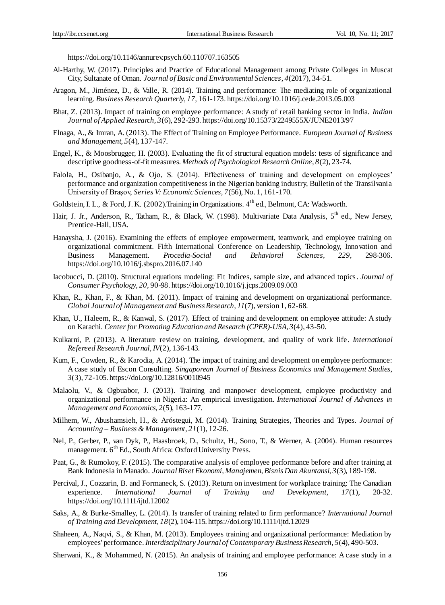https://doi.org/10.1146/annurev.psych.60.110707.163505

- Al-Harthy, W. (2017). Principles and Practice of Educational Management among Private Colleges in Muscat City, Sultanate of Oman. *Journal of Basic and Environmental Sciences, 4*(2017), 34-51.
- Aragon, M., Jiménez, D., & Valle, R. (2014). Training and performance: The mediating role of organizational learning. *Business Research Quarterly, 17,* 161-173. https://doi.org/10.1016/j.cede.2013.05.003
- Bhat, Z. (2013). Impact of training on employee performance: A study of retail banking sector in India. *Indian Journal of Applied Research, 3*(6), 292-293. https://doi.org/10.15373/2249555X/JUNE2013/97
- Elnaga, A., & Imran, A. (2013). The Effect of Training on Employee Performance. *European Journal of Business and Management, 5*(4), 137-147.
- Engel, K., & Moosbrugger, H. (2003). Evaluating the fit of structural equation models: tests of significance and descriptive goodness-of-fit measures. *Methods of Psychological Research Online, 8*(2), 23-74.
- Falola, H., Osibanjo, A., & Ojo, S. (2014). Effectiveness of training and development on employees' performance and organization competitiveness in the Nigerian banking industry, Bulletin of the Transilvania University of Braşov, *Series V: Economic Sciences, 7*(56), No. 1, 161-170.
- Goldstein, I. L., & Ford, J. K. (2002). Training in Organizations. 4<sup>th</sup> ed., Belmont, CA: Wadsworth.
- Hair, J. Jr., Anderson, R., Tatham, R., & Black, W. (1998). Multivariate Data Analysis, 5<sup>th</sup> ed., New Jersey, Prentice-Hall, USA.
- Hanaysha, J. (2016). Examining the effects of employee empowerment, teamwork, and employee training on organizational commitment. Fifth International Conference on Leadership, Technology, Innovation and Business Management. *Procedia-Social and Behavioral Sciences, 229,* 298-306. https://doi.org/10.1016/j.sbspro.2016.07.140
- Iacobucci, D. (2010). Structural equations modeling: Fit Indices, sample size, and advanced topics. *Journal of Consumer Psychology, 20,* 90-98. https://doi.org/10.1016/j.jcps.2009.09.003
- Khan, R., Khan, F., & Khan, M. (2011). Impact of training and development on organizational performance. *Global Journal of Management and Business Research, 11*(7), version 1, 62-68.
- Khan, U., Haleem, R., & Kanwal, S. (2017). Effect of training and development on employee attitude: A study on Karachi. *Center for Promoting Education and Research (CPER)-USA, 3*(4), 43-50.
- Kulkarni, P. (2013). A literature review on training, development, and quality of work life. *International Refereed Research Journal, IV*(2), 136-143.
- Kum, F., Cowden, R., & Karodia, A. (2014). The impact of training and development on employee performance: A case study of Escon Consulting. *Singaporean Journal of Business Economics and Management Studies, 3*(3), 72-105. https://doi.org/10.12816/0010945
- Malaolu, V., & Ogbuabor, J. (2013). Training and manpower development, employee productivity and organizational performance in Nigeria: An empirical investigation. *International Journal of Advances in Management and Economics, 2*(5), 163-177.
- Milhem, W., Abushamsieh, H., & Aróstegui, M. (2014). Training Strategies, Theories and Types. *Journal of Accounting – Business & Management, 21*(1), 12-26.
- Nel, P., Gerber, P., van Dyk, P., Haasbroek, D., Schultz, H., Sono, T., & Werner, A. (2004). Human resources management.  $6<sup>th</sup> Ed.$ , South Africa: Oxford University Press.
- Paat, G., & Rumokoy, F. (2015). The comparative analysis of employee performance before and after training at Bank Indonesia in Manado. *Journal Riset Ekonomi, Manajemen, Bisnis Dan Akuntansi, 3*(3), 189-198.
- Percival, J., Cozzarin, B. and Formaneck, S. (2013). Return on investment for workplace training: The Canadian experience. *International Journal of Training and Development, 17*(1), 20-32. https://doi.org/10.1111/ijtd.12002
- Saks, A., & Burke-Smalley, L. (2014). Is transfer of training related to firm performance? *International Journal of Training and Development, 18*(2), 104-115. https://doi.org/10.1111/ijtd.12029
- Shaheen, A., Naqvi, S., & Khan, M. (2013). Employees training and organizational performance: Mediation by employees' performance. *Interdisciplinary Journal of Contemporary Business Research, 5*(4), 490-503.
- Sherwani, K., & Mohammed, N. (2015). An analysis of training and employee performance: A case study in a